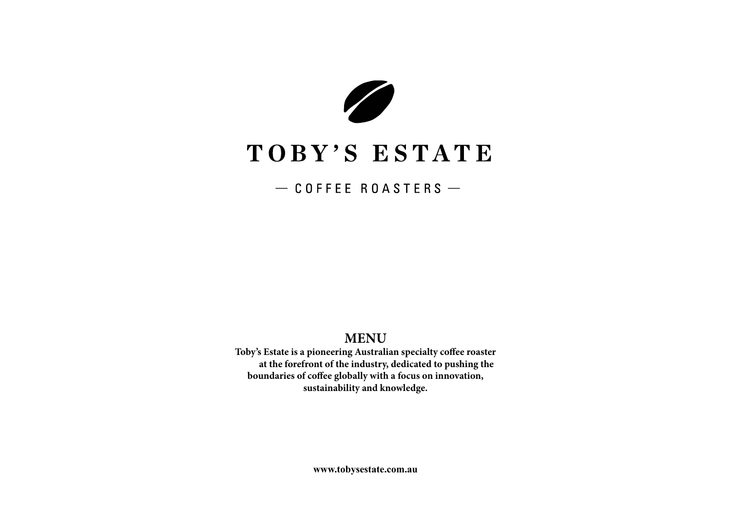

# TOBY'S ESTATE

 $-$  COFFEE ROASTERS  $-$ 

# **MENU**

**Toby's Estate is a pioneering Australian specialty coffee roaster at the forefront of the industry, dedicated to pushing the boundaries of coffee globally with a focus on innovation, sustainability and knowledge.** 

**www.tobysestate.com.au**